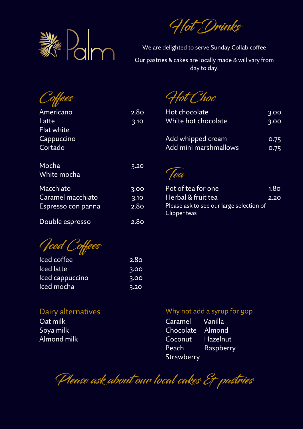

Hot Drinks

We are delighted to serve Sunday Collab coffee Our pastries & cakes are locally made & will vary from day to day.

|                      |                  | Hot Choc                                                 |                  |
|----------------------|------------------|----------------------------------------------------------|------------------|
| Americano            | 2.8 <sub>O</sub> | Hot chocolate                                            | 3.00             |
| Latte                | 3.10             | White hot chocolate                                      | 3.00             |
| Flat white           |                  |                                                          |                  |
| Cappuccino           |                  | Add whipped cream                                        | 0.75             |
| Cortado              |                  | Add mini marshmallows                                    | 0.75             |
| Mocha<br>White mocha | 3.20             | Yea                                                      |                  |
| Macchiato            | 3.00             | Pot of tea for one                                       | 1.8 <sub>O</sub> |
| Caramel macchiato    | 3.10             | Herbal & fruit tea                                       | 2.20             |
| Espresso con panna   | 2.8 <sub>O</sub> | Please ask to see our large selection of<br>Clipper teas |                  |
| Double espresso      | 2.8 <sub>O</sub> |                                                          |                  |
|                      |                  |                                                          |                  |

*Oced Coffees* 

| Iced coffee       | 2.8 <sub>O</sub> |
|-------------------|------------------|
| <b>Iced</b> latte | 3.00             |
| Iced cappuccino   | 3.00             |
| Iced mocha        | 3.20             |

## Dairy alternatives and the Most of Why not add a syrup for 90p

Oat milk Caramel Vanilla Soya milk Chocolate Almond Almond milk **Almond milk** Coconut Hazelnut Peach Raspberry **Strawberry** 

Please ask about our local cakes Et pastries

| Pot of tea for one                       | 1.8 <sub>O</sub> |
|------------------------------------------|------------------|
| Herbal & fruit tea                       | 2.20             |
| Please ask to see our large selection of |                  |
| Clipper teas                             |                  |